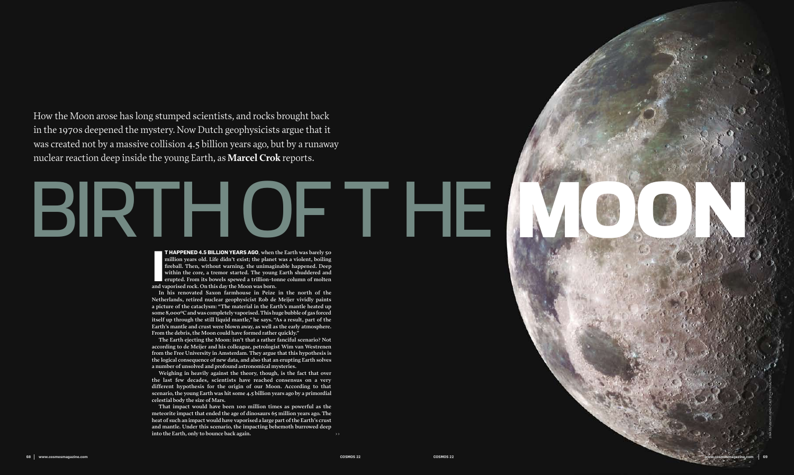How the Moon arose has long stumped scientists, and rocks brought back in the 1970s deepened the mystery. Now Dutch geophysicists argue that it was created not by a massive collision 4.5 billion years ago, but by a runaway nuclear reaction deep inside the young Earth, as **Marcel Crok** reports.

# $\blacksquare$ BIRTHON YEARS AGO, when the Earth was barely so

**T HAPPENED 4.5 BILLION YEARS AGO**, when the Earth was barely 50 million years old. Life didn't exist; the planet was a violent, boiling fireball. Then, without warning, the unimaginable happened. Deep within the core, a t **million years old. Life didn't exist; the planet was a violent, boiling fireball. Then, without warning, the unimaginable happened. Deep within the core, a tremor started. The young Earth shuddered and erupted. From its bowels spewed a trillion-tonne column of molten and vaporised rock. On this day the Moon was born.** 

**That impact would have been 100 million times as powerful as the meteorite impact that ended the age of dinosaurs 65 million years ago. The heat of such an impact would have vaporised a large part of the Earth's crust and mantle. Under this scenario, the impacting behemoth burrowed deep**  into the Earth, only to bounce back again.

**In his renovated Saxon farmhouse in Peize in the north of the Netherlands, retired nuclear geophysicist Rob de Meijer vividly paints a picture of the cataclysm: "The material in the Earth's mantle heated up some 8,000ºC and was completely vaporised. This huge bubble of gas forced itself up through the still liquid mantle," he says. "As a result, part of the Earth's mantle and crust were blown away, as well as the early atmosphere. From the debris, the Moon could have formed rather quickly."** 



**The Earth ejecting the Moon: isn't that a rather fanciful scenario? Not according to de Meijer and his colleague, petrologist Wim van Westrenen from the Free University in Amsterdam. They argue that this hypothesis is the logical consequence of new data, and also that an erupting Earth solves a number of unsolved and profound astronomical mysteries.** 

**Weighing in heavily against the theory, though, is the fact that over the last few decades, scientists have reached consensus on a very different hypothesis for the origin of our Moon. According to that scenario, the young Earth was hit some 4.5 billion years ago by a primordial celestial body the size of Mars.**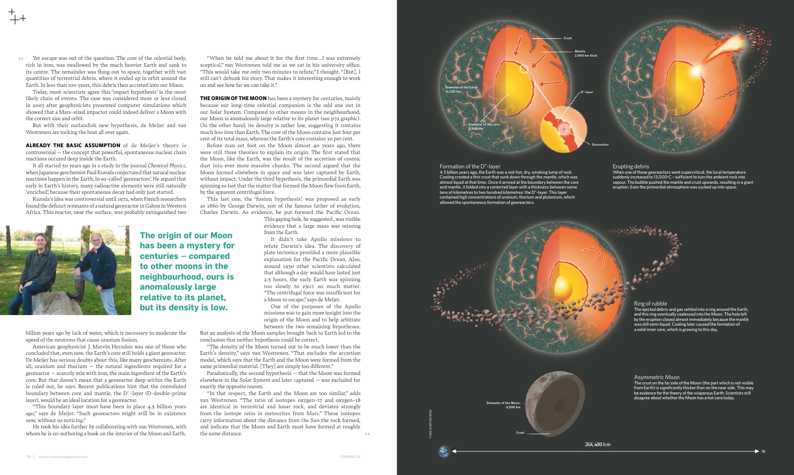>> Yet escape was out of the question. The core of the celestial body, rich in iron, was swallowed by the much heavier Earth and sank to its centre. The remainder was flung out to space, together with vast quantities of terrestrial debris, where it ended up in orbit around the Earth. In less than 100 years, this debris then accreted into our Moon.

Today, most scientists agree this 'impact hypothesis' is the most likely chain of events. The case was considered more or less closed in 2003 after geophysicists presented computer simulations which showed that a Mars-sized impactor could indeed deliver a Moon with the correct size and orbit.

But with their outlandish new hypothesis, de Meijer and van Westrenen are rocking the boat all over again.

**ALREADY THE BASIC ASSUMPTION** of de Meijer's theory is controversial – the concept that powerful, spontaneous nuclear chain reactions occured deep inside the Earth.

It all started 50 years ago in a study in the journal *Chemical Physics*, when Japanese geochemist Paul Kuroda conjectured that natural nuclear reactions happen in the Earth, in so-called 'georeactors'. He argued that early in Earth's history, many radioactive elements were still naturally 'enriched', because their spontaneous decay had only just started.

Kuroda's idea was controversial until 1972, when French researchers found the defunct remnants of a natural georeactor in Gabon in Western Africa. This reactor, near the surface, was probably extinguished two

billion years ago by lack of water, which is necessary to moderate the speed of the neutrons that cause uranium fission.

American geophysicist J. Marvin Herndon was one of those who concluded that, even now, the Earth's core still holds a giant georeactor. De Meijer has serious doubts about this, like many geochemists. After all, uranium and thorium  $-$  the natural ingredients required for a georeactor – scarcely mix with iron, the main ingredient of the Earth's core. But that doesn't mean that a georeactor deep within the Earth is ruled out, he says. Recent publications hint that the convoluted boundary between core and mantle, the D''-layer (D-double-prime layer), would be an ideal location for a georeactor.

"This boundary layer must have been in place 4.5 billion years ago," says de Meijer. "Such georeactors might still be in existence now, without us noticing."

He took his idea further by collaborating with van Westrenen, with whom he is co-authoring a book on the interior of the Moon and Earth.

"When he told me about it for the first time…I was extremely sceptical," van Westrenen told me as we sat in his university office. "This would take me only two minutes to refute," I thought. "[But], I still can't debunk his story. That makes it interesting enough to work on and see how far we can take it."

**THE ORIGIN OF THE MOON** has been a mystery for centuries, mainly because our long-time celestial companion is the odd one out in our Solar System. Compared to other moons in the neighbourhood, our Moon is anomalously large relative to its planet (see p72 graphic). On the other hand, its density is rather low, suggesting it contains much less iron than Earth. The core of the Moon contains just four per cent of its total mass, whereas the Earth's core contains 30 per cent.

> The ejected debris and gas settled into a ring around the Earth, and this ring eventually coalesced into the Moon. The hole left by the eruption closed almost immediately because the mantle was still semi-liquid. Cooling later caused the formation of a solid inner core, which is growing to this day.

Before man set foot on the Moon almost 40 years ago, there were still three theories to explain its origin. The first stated that the Moon, like the Earth, was the result of the accretion of cosmic dust into ever more massive chunks. The second argued that the Moon formed elsewhere in space and was later captured by Earth, without impact. Under the third hypothesis, the primordial Earth was spinning so fast that the matter that formed the Moon flew from Earth, by the apparent centrifugal force.

This last one, the 'fission hypothesis', was proposed as early as 1880 by George Darwin, son of the famous father of evolution, Charles Darwin. As evidence, he put forward the Pacific Ocean.

This gaping hole, he suggested , was visible evidence that a large mass was missing from the Earth.

It didn't take Apollo missions to refute Darwin's idea. The discovery of plate tectonics provided a more plausible explanation for the Pacific Ocean. Also, around 1930 other scientists calculated that although a day would have lasted just 2.5 hours, the early Earth was spinning too slowly to eject so much matter. "The centrifugal force was insufficient for a Moon to escape," says de Meijer.

One of the purposes of the Apollo missions was to gain more insight into the origin of the Moon and to help arbitrate between the two remaining hypotheses.

But an analysis of the Moon samples brought back to Earth led to the conclusion that neither hypothesis could be correct.

"The density of the Moon turned out to be much lower than the Earth's density," says van Westrenen. "That excludes the accretion model, which says that the Earth and the Moon were formed from the same primordial material. [They] are simply too different."

Paradoxically, the second hypothesis – that the Moon was formed elsewhere in the Solar System and later captured – was excluded for exactly the opposite reason.

"In that respect, the Earth and the Moon are too similar," adds van Westrenen. "The ratio of isotopes oxygen-17 and oxygen-18 are identical in terrestrial and lunar rock, and deviates strongly from the isotope ratio in meteorites from Mars." These isotopes carry information about the distance from the Sun the rock formed, and indicate that the Moon and Earth must have formed at roughly the same distance.

>>



**has been a mystery for centuries – compared to other moons in the neighbourhood, ours is anomalously large relative to its planet, but its density is low.**

theo barten/bno

### Formation of the D"-layer

4.5 billion years ago, the Earth was a red-hot, dry, smoking lump of rock. Cooling created a thin crust that sunk down through the mantle, which was almost liquid at that time. Once it arrived at the boundary between the core and mantle, it folded into a contorted layer with a thickness between some tens of kilometres to two hundred kilometres: the D"-layer. This layer contained high concentrations of uranium, thorium and plutonium, which allowed the spontaneous formation of georeactors.

Erupting debris

When one of these georeactors went supercritical, the local temperature suddenly increased to 13,000°C - sufficient to turn the ambient rock into vapour. The bubble pushed the mantle and crust upwards, resulting in a giant eruption. Even the primordial atmosphere was sucked up into space.

## Ring of rubble

### Asymmetric Moon

The crust on the far side of the Moon (the part which is not visible from Earth) is significantly thicker than on the near side. This may be evidence for the theory of the viviparous Earth. Scientists still disagree about whether the Moon has a hot core today.

384,400 km



**Crust**

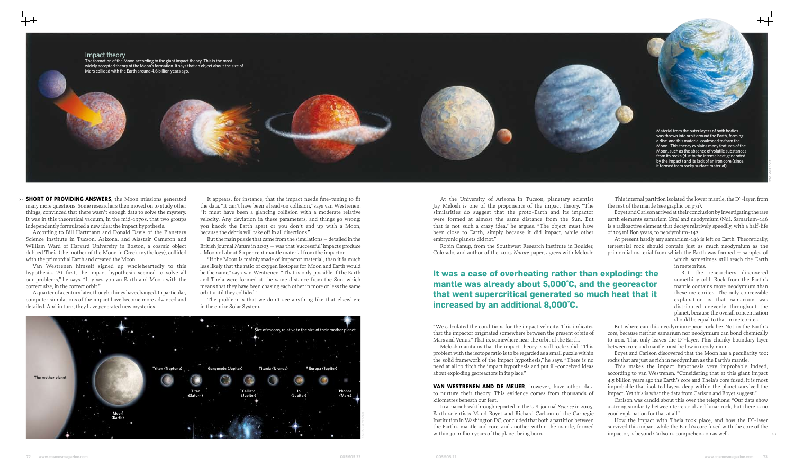>> **SHORT OF PROVIDING ANSWERS**, the Moon missions generated many more questions. Some researchers then moved on to study other things, convinced that there wasn't enough data to solve the mystery. It was in this theoretical vacuum, in the mid-1970s, that two groups independently formulated a new idea: the impact hypothesis.

According to Bill Hartmann and Donald Davis of the Planetary Science Institute in Tucson, Arizona, and Alastair Cameron and William Ward of Harvard University in Boston, a cosmic object dubbed Theia (the mother of the Moon in Greek mythology), collided with the primordial Earth and created the Moon.

Van Westrenen himself signed up wholeheartedly to this hypothesis. "At first, the impact hypothesis seemed to solve all our problems," he says. "It gives you an Earth and Moon with the correct size, in the correct orbit."

A quarter of a century later, though, things have changed. In particular, computer simulations of the impact have become more advanced and detailed. And in turn, they have generated new mysteries.

It appears, for instance, that the impact needs fine-tuning to fit the data. "It can't have been a head-on collision," says van Westrenen. "It must have been a glancing collision with a moderate relative velocity. Any deviation in these parameters, and things go wrong; you knock the Earth apart or you don't end up with a Moon, because the debris will take off in all directions."

But the main puzzle that came from the simulations – detailed in the British journal *Nature* in 2003 – was that 'successful' impacts produce a Moon of about 80 per cent mantle material from the impactor.

"If the Moon is mainly made of impactor material, than it is much less likely that the ratio of oxygen isotopes for Moon and Earth would be the same," says van Westrenen. "That is only possible if the Earth and Theia were formed at the same distance from the Sun, which means that they have been chasing each other in more or less the same orbit until they collided."

The problem is that we don't see anything like that elsewhere in the entire Solar System.

At the University of Arizona in Tucson, planetary scientist Jay Melosh is one of the proponents of the impact theory. "The similarities do suggest that the proto-Earth and its impactor were formed at almost the same distance from the Sun. But that is not such a crazy idea," he argues. "The object must have been close to Earth, simply because it did impact, while other embryonic planets did not."

Robin Canup, from the Southwest Research Institute in Boulder, Colorado, and author of the 2003 *Nature* paper, agrees with Melosh:

> How the impact with Theia took place, and how the D''-layer survived this impact while the Earth's core fused with the core of the impactor, is beyond Carlson's comprehension as well.

"We calculated the conditions for the impact velocity. This indicates that the impactor originated somewhere between the present orbits of Mars and Venus." That is, somewhere near the orbit of the Earth.

Melosh maintains that the impact theory is still rock-solid. "This problem with the isotope ratio is to be regarded as a small puzzle within the solid framework of the impact hypothesis," he says. "There is no need at all to ditch the impact hypothesis and put ill-conceived ideas about exploding georeactors in its place."

**VAN WESTRENEN AND DE MEIJER**, however, have other data to nurture their theory. This evidence comes from thousands of kilometres beneath our feet.

In a major breakthrough reported in the U.S. journal *Science* in 2005, Earth scientists Maud Boyet and Richard Carlson of the Carnegie Institution in Washington DC, concluded that both a partition between the Earth's mantle and core, and another within the mantle, formed within 30 million years of the planet being born.

This internal partition isolated the lower mantle, the D''-layer, from the rest of the mantle (see graphic on p71).

Boyet and Carlson arrived at their conclusion by investigating the rare earth elements samarium (Sm) and neodymium (Nd). Samarium-146 is a radioactive element that decays relatively speedily, with a half-life of 103 million years, to neodymium-142.

At present hardly any samarium-146 is left on Earth. Theoretically, terrestrial rock should contain just as much neodymium as the primordial material from which the Earth was formed – samples of

which sometimes still reach the Earth in meteorites.

## But the researchers discovered something odd. Rock from the Earth's mantle contains more neodymium than these meteorites. The only conceivable explanation is that samarium was distributed unevenly throughout the planet, because the overall concentration should be equal to that in meteorites.

But where can this neodymium-poor rock be? Not in the Earth's core, because neither samarium nor neodymium can bond chemically to iron. That only leaves the D''-layer. This chunky boundary layer between core and mantle must be low in neodymium.

Boyet and Carlson discovered that the Moon has a peculiarity too: rocks that are just as rich in neodymium as the Earth's mantle.

This makes the impact hypothesis very improbable indeed, according to van Westrenen. "Considering that at this giant impact 4.5 billion years ago the Earth's core and Theia's core fused, it is most improbable that isolated layers deep within the planet survived the impact. Yet this is what the data from Carlson and Boyet suggest."

Carlson was candid about this over the telephone: "Our data show a strong similarity between terrestrial and lunar rock, but there is no good explanation for that at all."

# **It was a case of overheating rather than exploding: the mantle was already about 5,000˚C, and the georeactor that went supercritical generated so much heat that it increased by an additional 8,000˚C.**